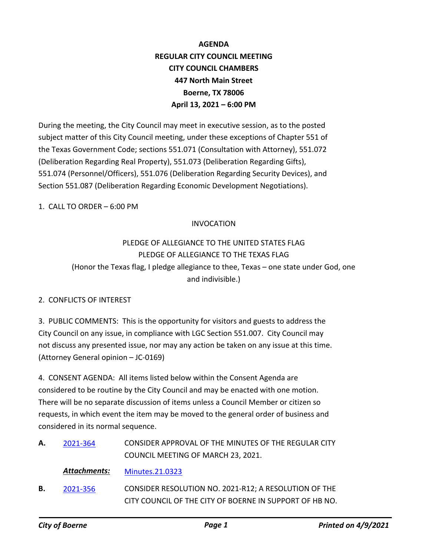# **AGENDA REGULAR CITY COUNCIL MEETING CITY COUNCIL CHAMBERS 447 North Main Street Boerne, TX 78006 April 13, 2021 – 6:00 PM**

During the meeting, the City Council may meet in executive session, as to the posted subject matter of this City Council meeting, under these exceptions of Chapter 551 of the Texas Government Code; sections 551.071 (Consultation with Attorney), 551.072 (Deliberation Regarding Real Property), 551.073 (Deliberation Regarding Gifts), 551.074 (Personnel/Officers), 551.076 (Deliberation Regarding Security Devices), and Section 551.087 (Deliberation Regarding Economic Development Negotiations).

1. CALL TO ORDER  $-6:00$  PM

### INVOCATION

## PLEDGE OF ALLEGIANCE TO THE UNITED STATES FLAG PLEDGE OF ALLEGIANCE TO THE TEXAS FLAG (Honor the Texas flag, I pledge allegiance to thee, Texas – one state under God, one and indivisible.)

### 2. CONFLICTS OF INTEREST

3. PUBLIC COMMENTS: This is the opportunity for visitors and guests to address the City Council on any issue, in compliance with LGC Section 551.007. City Council may not discuss any presented issue, nor may any action be taken on any issue at this time. (Attorney General opinion – JC-0169)

4. CONSENT AGENDA: All items listed below within the Consent Agenda are considered to be routine by the City Council and may be enacted with one motion. There will be no separate discussion of items unless a Council Member or citizen so requests, in which event the item may be moved to the general order of business and considered in its normal sequence.

CONSIDER APPROVAL OF THE MINUTES OF THE REGULAR CITY COUNCIL MEETING OF MARCH 23, 2021. **A.** [2021-364](http://boerne.legistar.com/gateway.aspx?m=l&id=/matter.aspx?key=5877)

*Attachments:* [Minutes.21.0323](http://boerne.legistar.com/gateway.aspx?M=F&ID=78d9ca1b-18df-47cf-9420-5f029b82659c.pdf)

CONSIDER RESOLUTION NO. 2021-R12; A RESOLUTION OF THE CITY COUNCIL OF THE CITY OF BOERNE IN SUPPORT OF HB NO. **B.** [2021-356](http://boerne.legistar.com/gateway.aspx?m=l&id=/matter.aspx?key=5869)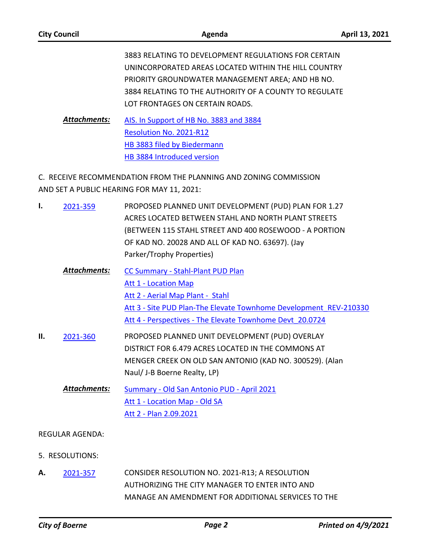|    | <b>City Council</b>    | Agenda                                                                                                                                                                                                                                                        | April 13, 2021 |
|----|------------------------|---------------------------------------------------------------------------------------------------------------------------------------------------------------------------------------------------------------------------------------------------------------|----------------|
|    |                        | 3883 RELATING TO DEVELOPMENT REGULATIONS FOR CERTAIN<br>UNINCORPORATED AREAS LOCATED WITHIN THE HILL COUNTRY<br>PRIORITY GROUNDWATER MANAGEMENT AREA; AND HB NO.<br>3884 RELATING TO THE AUTHORITY OF A COUNTY TO REGULATE<br>LOT FRONTAGES ON CERTAIN ROADS. |                |
|    | <b>Attachments:</b>    | AIS. In Support of HB No. 3883 and 3884<br>Resolution No. 2021-R12<br>HB 3883 filed by Biedermann<br>HB 3884 Introduced version                                                                                                                               |                |
|    |                        | C. RECEIVE RECOMMENDATION FROM THE PLANNING AND ZONING COMMISSION<br>AND SET A PUBLIC HEARING FOR MAY 11, 2021:                                                                                                                                               |                |
| I. | 2021-359               | PROPOSED PLANNED UNIT DEVELOPMENT (PUD) PLAN FOR 1.27<br>ACRES LOCATED BETWEEN STAHL AND NORTH PLANT STREETS<br>(BETWEEN 115 STAHL STREET AND 400 ROSEWOOD - A PORTION<br>OF KAD NO. 20028 AND ALL OF KAD NO. 63697). (Jay<br>Parker/Trophy Properties)       |                |
|    | <b>Attachments:</b>    | CC Summary - Stahl-Plant PUD Plan<br><b>Att 1 - Location Map</b><br>Att 2 - Aerial Map Plant - Stahl<br>Att 3 - Site PUD Plan-The Elevate Townhome Development REV-210330<br>Att 4 - Perspectives - The Elevate Townhome Devt 20.0724                         |                |
| н. | 2021-360               | PROPOSED PLANNED UNIT DEVELOPMENT (PUD) OVERLAY<br>DISTRICT FOR 6.479 ACRES LOCATED IN THE COMMONS AT<br>MENGER CREEK ON OLD SAN ANTONIO (KAD NO. 300529). (Alan<br>Naul/ J-B Boerne Realty, LP)                                                              |                |
|    | Attachments:           | Summary - Old San Antonio PUD - April 2021<br>Att 1 - Location Map - Old SA<br>Att 2 - Plan 2.09.2021                                                                                                                                                         |                |
|    | <b>REGULAR AGENDA:</b> |                                                                                                                                                                                                                                                               |                |
|    | 5. RESOLUTIONS:        |                                                                                                                                                                                                                                                               |                |
| А. | 2021-357               | CONSIDER RESOLUTION NO. 2021-R13; A RESOLUTION<br>AUTHORIZING THE CITY MANAGER TO ENTER INTO AND                                                                                                                                                              |                |

MANAGE AN AMENDMENT FOR ADDITIONAL SERVICES TO THE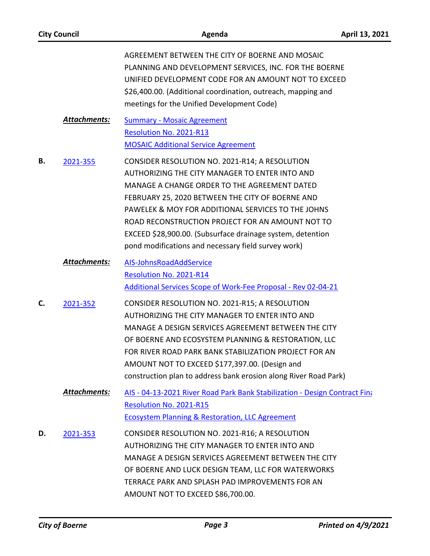| <b>City Council</b> |                     | Agenda                                                                                                                                                                                                                                                                                                                                                                                                                              | April 13, 2021 |
|---------------------|---------------------|-------------------------------------------------------------------------------------------------------------------------------------------------------------------------------------------------------------------------------------------------------------------------------------------------------------------------------------------------------------------------------------------------------------------------------------|----------------|
|                     |                     | AGREEMENT BETWEEN THE CITY OF BOERNE AND MOSAIC<br>PLANNING AND DEVELOPMENT SERVICES, INC. FOR THE BOERNE<br>UNIFIED DEVELOPMENT CODE FOR AN AMOUNT NOT TO EXCEED<br>\$26,400.00. (Additional coordination, outreach, mapping and<br>meetings for the Unified Development Code)                                                                                                                                                     |                |
|                     | Attachments:        | <b>Summary - Mosaic Agreement</b><br>Resolution No. 2021-R13<br><b>MOSAIC Additional Service Agreement</b>                                                                                                                                                                                                                                                                                                                          |                |
| В.                  | 2021-355            | CONSIDER RESOLUTION NO. 2021-R14; A RESOLUTION<br>AUTHORIZING THE CITY MANAGER TO ENTER INTO AND<br>MANAGE A CHANGE ORDER TO THE AGREEMENT DATED<br>FEBRUARY 25, 2020 BETWEEN THE CITY OF BOERNE AND<br>PAWELEK & MOY FOR ADDITIONAL SERVICES TO THE JOHNS<br>ROAD RECONSTRUCTION PROJECT FOR AN AMOUNT NOT TO<br>EXCEED \$28,900.00. (Subsurface drainage system, detention<br>pond modifications and necessary field survey work) |                |
|                     | <b>Attachments:</b> | AIS-JohnsRoadAddService<br>Resolution No. 2021-R14<br>Additional Services Scope of Work-Fee Proposal - Rev 02-04-21                                                                                                                                                                                                                                                                                                                 |                |
| C.                  | 2021-352            | CONSIDER RESOLUTION NO. 2021-R15; A RESOLUTION<br>AUTHORIZING THE CITY MANAGER TO ENTER INTO AND<br>MANAGE A DESIGN SERVICES AGREEMENT BETWEEN THE CITY<br>OF BOERNE AND ECOSYSTEM PLANNING & RESTORATION, LLC<br>FOR RIVER ROAD PARK BANK STABILIZATION PROJECT FOR AN<br>AMOUNT NOT TO EXCEED \$177,397.00. (Design and<br>construction plan to address bank erosion along River Road Park)                                       |                |
|                     | <b>Attachments:</b> | AIS - 04-13-2021 River Road Park Bank Stabilization - Design Contract Fina<br>Resolution No. 2021-R15<br><b>Ecosystem Planning &amp; Restoration, LLC Agreement</b>                                                                                                                                                                                                                                                                 |                |
| D.                  | 2021-353            | CONSIDER RESOLUTION NO. 2021-R16; A RESOLUTION<br>AUTHORIZING THE CITY MANAGER TO ENTER INTO AND<br>MANAGE A DESIGN SERVICES AGREEMENT BETWEEN THE CITY<br>OF BOERNE AND LUCK DESIGN TEAM, LLC FOR WATERWORKS<br>TERRACE PARK AND SPLASH PAD IMPROVEMENTS FOR AN<br>AMOUNT NOT TO EXCEED \$86,700.00.                                                                                                                               |                |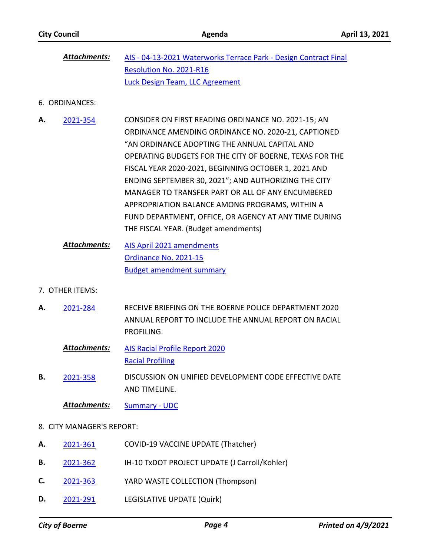| Attachments: | AIS - 04-13-2021 Waterworks Terrace Park - Design Contract Final |
|--------------|------------------------------------------------------------------|
|              | Resolution No. 2021-R16                                          |
|              | Luck Design Team, LLC Agreement                                  |

6. ORDINANCES:

- CONSIDER ON FIRST READING ORDINANCE NO. 2021-15; AN ORDINANCE AMENDING ORDINANCE NO. 2020-21, CAPTIONED "AN ORDINANCE ADOPTING THE ANNUAL CAPITAL AND OPERATING BUDGETS FOR THE CITY OF BOERNE, TEXAS FOR THE FISCAL YEAR 2020-2021, BEGINNING OCTOBER 1, 2021 AND ENDING SEPTEMBER 30, 2021"; AND AUTHORIZING THE CITY MANAGER TO TRANSFER PART OR ALL OF ANY ENCUMBERED APPROPRIATION BALANCE AMONG PROGRAMS, WITHIN A FUND DEPARTMENT, OFFICE, OR AGENCY AT ANY TIME DURING THE FISCAL YEAR. (Budget amendments) **A.** [2021-354](http://boerne.legistar.com/gateway.aspx?m=l&id=/matter.aspx?key=5867)
	- [AIS April 2021 amendments](http://boerne.legistar.com/gateway.aspx?M=F&ID=abadba98-1381-4b94-9493-cb3f249e36aa.doc) [Ordinance No. 2021-15](http://boerne.legistar.com/gateway.aspx?M=F&ID=cd121424-7825-4a02-b7ff-50d712cf543f.docx) [Budget amendment summary](http://boerne.legistar.com/gateway.aspx?M=F&ID=f86af87d-8d29-4362-9951-537eddc267fb.xlsx) *Attachments:*
- 7. OTHER ITEMS:
- RECEIVE BRIEFING ON THE BOERNE POLICE DEPARTMENT 2020 ANNUAL REPORT TO INCLUDE THE ANNUAL REPORT ON RACIAL PROFILING. **A.** [2021-284](http://boerne.legistar.com/gateway.aspx?m=l&id=/matter.aspx?key=5837)
	- [AIS Racial Profile Report 2020](http://boerne.legistar.com/gateway.aspx?M=F&ID=1fd3b30c-83e7-4967-a58a-273457bb3270.doc) [Racial Profiling](http://boerne.legistar.com/gateway.aspx?M=F&ID=517d6483-8bce-4398-84d5-76d7025eb5ec.pdf) *Attachments:*
- DISCUSSION ON UNIFIED DEVELOPMENT CODE EFFECTIVE DATE AND TIMELINE. **B.** [2021-358](http://boerne.legistar.com/gateway.aspx?m=l&id=/matter.aspx?key=5871)

*Attachments:* [Summary - UDC](http://boerne.legistar.com/gateway.aspx?M=F&ID=00e188c2-76d7-4065-877e-33e23953a75e.doc)

- 8. CITY MANAGER'S REPORT:
- **A.** [2021-361](http://boerne.legistar.com/gateway.aspx?m=l&id=/matter.aspx?key=5874) COVID-19 VACCINE UPDATE (Thatcher)
- **B.** [2021-362](http://boerne.legistar.com/gateway.aspx?m=l&id=/matter.aspx?key=5875) IH-10 TxDOT PROJECT UPDATE (J Carroll/Kohler)
- **C.** [2021-363](http://boerne.legistar.com/gateway.aspx?m=l&id=/matter.aspx?key=5876) YARD WASTE COLLECTION (Thompson)
- **D.** [2021-291](http://boerne.legistar.com/gateway.aspx?m=l&id=/matter.aspx?key=5844) LEGISLATIVE UPDATE (Quirk)